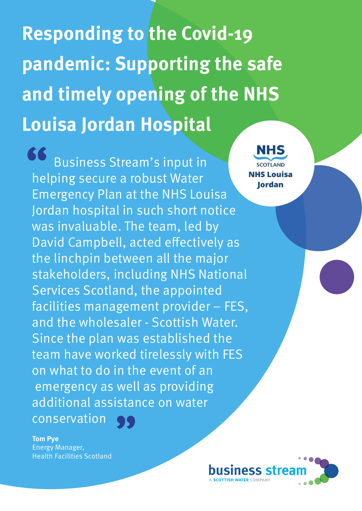**Responding to the Covid-19 pandemic: Supporting the safe and timely opening of the NHS Louisa Jordan Hospital** 

Business Stream's input in helping secure a robust Water Emergency Plan at the NHS Louisa Jordan hospital in such short notice was invaluable. The team, led by David Campbell, acted effectively as the linchpin between all the major stakeholders, including NHS National Services Scotland, the appointed facilities management provider – FES, and the wholesaler - Scottish Water. Since the plan was established the team have worked tirelessly with FES on what to do in the event of an emergency as well as providing additional assistance on water<br>conservation conservation **66**<br>
hel

**Tom Pye** Energy Manager, Health Facilities Scotland



**SCOTLAND NHS Louisa lordan**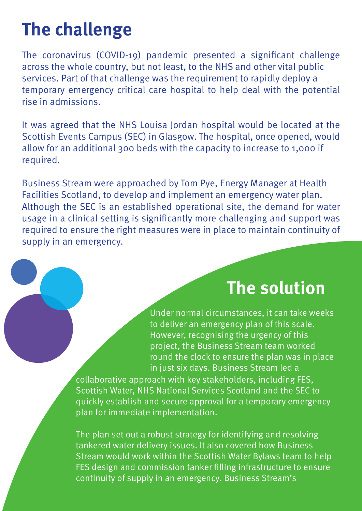## **The challenge**

The coronavirus (COVID-19) pandemic presented a significant challenge across the whole country, but not least, to the NHS and other vital public services. Part of that challenge was the requirement to rapidly deploy a temporary emergency critical care hospital to help deal with the potential rise in admissions.

It was agreed that the NHS Louisa Jordan hospital would be located at the Scottish Events Campus (SEC) in Glasgow. The hospital, once opened, would allow for an additional 300 beds with the capacity to increase to 1,000 if required.

Business Stream were approached by Tom Pye, Energy Manager at Health Facilities Scotland, to develop and implement an emergency water plan. Although the SEC is an established operational site, the demand for water usage in a clinical setting is significantly more challenging and support was required to ensure the right measures were in place to maintain continuity of supply in an emergency.

## **The solution**

Under normal circumstances, it can take weeks to deliver an emergency plan of this scale. However, recognising the urgency of this project, the Business Stream team worked round the clock to ensure the plan was in place in just six days. Business Stream led a

collaborative approach with key stakeholders, including FES, Scottish Water, NHS National Services Scotland and the SEC to quickly establish and secure approval for a temporary emergency plan for immediate implementation.

The plan set out a robust strategy for identifying and resolving tankered water delivery issues. It also covered how Business Stream would work within the Scottish Water Bylaws team to help FES design and commission tanker filling infrastructure to ensure continuity of supply in an emergency. Business Stream's